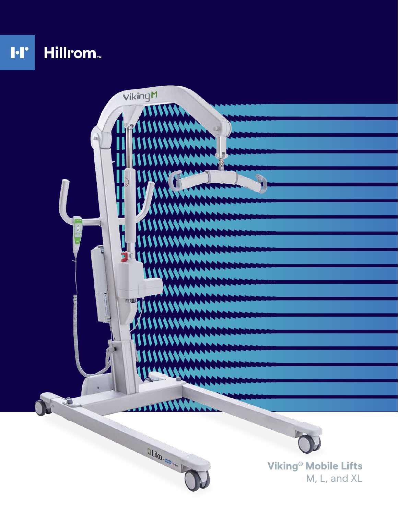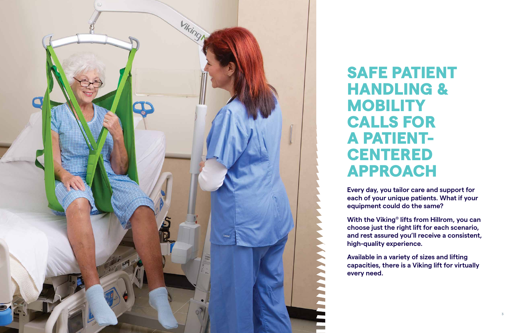# SAFE PATIENT HANDLING & **MOBILITY** CALLS FOR A PATIENT-**CENTERED** APPROACH

**Every day, you tailor care and support for each of your unique patients. What if your equipment could do the same?**

**With the Viking ® lifts from Hillrom, you can choose just the right lift for each scenario, and rest assured you'll receive a consistent, high-quality experience.**

**Available in a variety of sizes and lifting capacities, there is a Viking lift for virtually every need.**

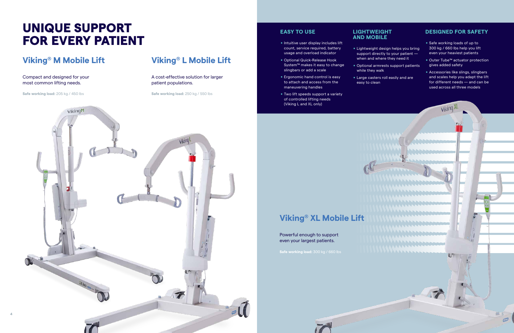#### **EASY TO USE**

- **Intuitive user display includes lift** count, service required, battery usage and overload indicator
- . Optional Quick-Release Hook System™ makes it easy to change slingbars or add a scale
- **Ergonomic hand control is easy** to attach and access from the maneuvering handles
- **Two lift speeds support a variety** of controlled lifting needs (Viking L and XL only)

#### **LIGHTWEIGHT AND MOBILE**

- . Lightweight design helps you bring support directly to your patient when and where they need it
- . Optional armrests support patients while they walk
- **Large casters roll easily and are** easy to clean

### **DESIGNED FOR SAFETY**

- . Safe working loads of up to 300 kg / 660 lbs help you lift even your heaviest patients
- Outer Tube™ actuator protection gives added safety
- **E.** Accessories like slings, slingbars and scales help you adapt the lift for different needs — and can be used across all three models

**Viking** 

 $10<sup>7</sup>$ 

## **Viking® M Mobile Lift**

Compact and designed for your most common lifting needs.

**Safe working load:** 205 kg / 450 lbs

### **Viking® L Mobile Lift**

A cost-effective solution for larger patient populations.

**Safe working load:** 250 kg / 550 lbs

## UNIQUE SUPPORT FOR EVERY PATIENT

### **Viking® XL Mobile Lift**

Powerful enough to support even your largest patients.

**Safe working load:** 300 kg / 660 lbs

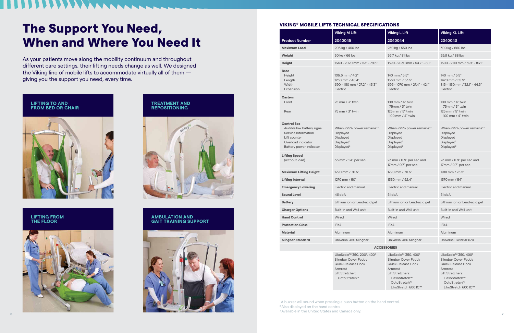#### VIKING® MOBILE LIFTS TECHNICAL SPECIFICATIONS

|                                                                                                                                          | <b>Viking M Lift</b>                                                                                                                            | <b>Viking L Lift</b>                                                                                                                           | <b>Viking XL Lift</b>                                                                                                                          |
|------------------------------------------------------------------------------------------------------------------------------------------|-------------------------------------------------------------------------------------------------------------------------------------------------|------------------------------------------------------------------------------------------------------------------------------------------------|------------------------------------------------------------------------------------------------------------------------------------------------|
| <b>Product Number</b>                                                                                                                    | 2040045                                                                                                                                         | 2040044                                                                                                                                        | 2040043                                                                                                                                        |
| <b>Maximum Load</b>                                                                                                                      | 205 kg / 450 lbs                                                                                                                                | 250 kg / 550 lbs                                                                                                                               | 300 kg / 660 lbs                                                                                                                               |
| Weight                                                                                                                                   | 30 kg / 66 lbs                                                                                                                                  | 36.7 kg / 81 lbs                                                                                                                               | 39.9 kg / 88 lbs                                                                                                                               |
| Height                                                                                                                                   | 1340 - 2020 mm / 53" - 79.5"                                                                                                                    | 1390 - 2030 mm / 54.7" - 80"                                                                                                                   | 1500 - 2110 mm / 59.1" - 83.1"                                                                                                                 |
| Base<br>Height<br>Length<br>Width<br>Expansion                                                                                           | 106.6 mm / 4.2"<br>1230 mm / 48.4"<br>690 - 1110 mm / 27.2" - 43.3"<br>Electric                                                                 | 140 mm / 5.5"<br>1360 mm / 53.5"<br>695 - 1070 mm / 27.4" - 42.1"<br>Electric                                                                  | 140 mm / 5.5"<br>1420 mm / 55.9"<br>815 - 1130 mm / 32.1" - 44.5"<br>Electric                                                                  |
| <b>Casters</b><br>Front<br>Rear                                                                                                          | 75 mm / 3" twin<br>75 mm / 3" twin                                                                                                              | 100 mm / 4" twin<br>75mm / 3" twin<br>125 mm / 5" twin<br>100 mm / 4" twin                                                                     | 100 mm / 4" twin<br>75mm / 3" twin<br>125 mm / 5" twin<br>100 mm / 4" twin                                                                     |
| <b>Control Box</b><br>Audible low battery signal<br>Service Information<br>Lift counter<br>Overload indicator<br>Battery power indicator | When $<$ 25% power remains <sup><math>1,2</math></sup><br>Displayed<br>Displayed<br>Displayed <sup>2</sup><br>Displayed <sup>2</sup>            | When $<$ 25% power remains <sup><math>1,2</math></sup><br><b>Displayed</b><br>Displayed<br>Displayed <sup>2</sup><br>Displayed <sup>2</sup>    | When $<$ 25% power remains <sup><math>1,2</math></sup><br>Displayed<br>Displayed<br>Displayed <sup>2</sup><br>Displayed <sup>2</sup>           |
| Lifting Speed<br>(without load)                                                                                                          | 36 mm / 1.4" per sec                                                                                                                            | 23 mm / 0.9" per sec and<br>17mm / 0.7" per sec                                                                                                | 23 mm / 0.9" per sec and<br>17mm / 0.7" per sec                                                                                                |
| <b>Maximum Lifting Height</b>                                                                                                            | 1790 mm / 70.5"                                                                                                                                 | 1790 mm / 70.5"                                                                                                                                | 1910 mm / 75.2"                                                                                                                                |
| <b>Lifting Interval</b>                                                                                                                  | 1270 mm / 50"                                                                                                                                   | 1330 mm / 52.4"                                                                                                                                | 1370 mm / 54"                                                                                                                                  |
| <b>Emergency Lowering</b>                                                                                                                | Electric and manual                                                                                                                             | Electric and manual                                                                                                                            | Electric and manual                                                                                                                            |
| <b>Sound Level</b>                                                                                                                       | 46 dbA                                                                                                                                          | 51 dbA                                                                                                                                         | 51 dbA                                                                                                                                         |
| <b>Battery</b>                                                                                                                           | Lithium ion or Lead-acid gel                                                                                                                    | Lithium ion or Lead-acid gel                                                                                                                   | Lithium ion or Lead-acid gel                                                                                                                   |
| <b>Charger Options</b>                                                                                                                   | Built-in and Wall unit                                                                                                                          | <b>Built-in and Wall unit</b>                                                                                                                  | Built-in and Wall unit                                                                                                                         |
| <b>Hand Control</b>                                                                                                                      | Wired                                                                                                                                           | Wired                                                                                                                                          | Wired                                                                                                                                          |
| <b>Protection Class</b>                                                                                                                  | IPX4                                                                                                                                            | IPX4                                                                                                                                           | IPX4                                                                                                                                           |
| <b>Material</b>                                                                                                                          | Aluminum                                                                                                                                        | Aluminum                                                                                                                                       | Aluminum                                                                                                                                       |
| <b>Slingbar Standard</b>                                                                                                                 | Universal 450 Slingbar                                                                                                                          | Universal 450 Slingbar                                                                                                                         | Universal TwinBar 670                                                                                                                          |
| <b>ACCESSORIES</b>                                                                                                                       |                                                                                                                                                 |                                                                                                                                                |                                                                                                                                                |
|                                                                                                                                          | LikoScale™ 350, 200 <sup>3</sup> , 400 <sup>3</sup><br>Slingbar Cover Paddy<br>Quick-Release Hook<br>Armrest<br>Lift Stretcher:<br>OctoStretch™ | LikoScale™ 350, 400 <sup>3</sup><br>Slingbar Cover Paddy<br>Quick-Release Hook<br>Armrest<br>Lift Stretchers:<br>FlexoStretch™<br>OctoStretch™ | LikoScale™ 350, 400 <sup>3</sup><br>Slingbar Cover Paddy<br>Quick-Release Hook<br>Armrest<br>Lift Stretchers:<br>FlexoStretch™<br>OctoStretch™ |

LikoStretch 600 IC™

<sup>1</sup>A buzzer will sound when pressing a push button on the hand control. <sup>2</sup> Also displayed on the hand control.

LikoStretch 600 IC™

## The Support You Need, When and Where You Need It

As your patients move along the mobility continuum and throughout different care settings, their lifting needs change as well. We designed the Viking line of mobile lifts to accommodate virtually all of them giving you the support you need, every time.

#### **LIFTING TO AND FROM BED OR CHAIR**



**TREATMENT AND REPOSITIONING**



#### **LIFTING FROM THE FLOOR**



#### **AMBULATION AND GAIT TRAINING SUPPORT**